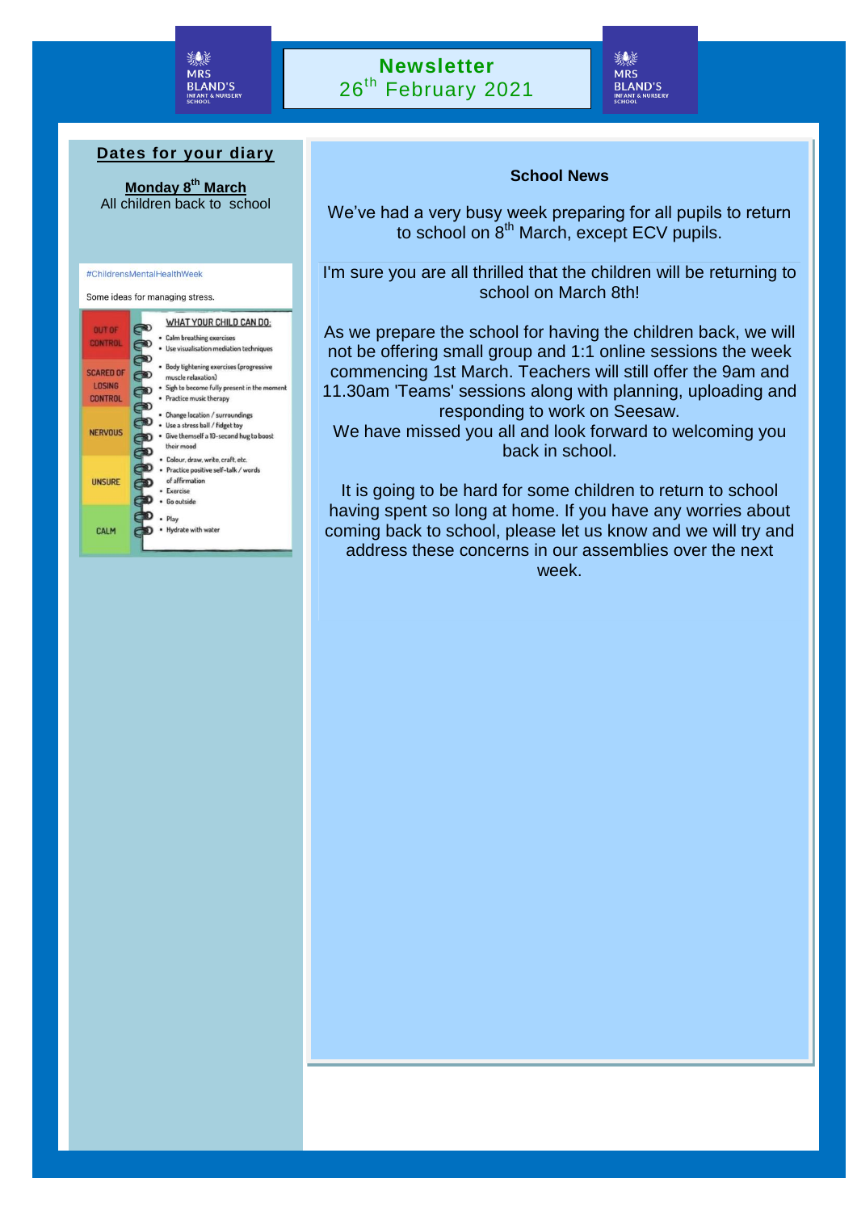

### **Newsletter** 26<sup>th</sup> February 2021

覆装 **MRS BLAND'S INFANT** 

#### **Dates for your diary**

**Monday 8th March** All children back to school



# **School News**

We've had a very busy week preparing for all pupils to return to school on 8<sup>th</sup> March, except ECV pupils.

I'm sure you are all thrilled that the children will be returning to school on March 8th!

responding to work on Seesaw. As we prepare the school for having the children back, we will not be offering small group and 1:1 online sessions the week commencing 1st March. Teachers will still offer the 9am and 11.30am 'Teams' sessions along with planning, uploading and

 We have missed you all and look forward to welcoming you back in school.

having spent so long at home. If you have any worries about<br>coming hack to school, please lot us know and we will try and It is going to be hard for some children to return to school coming back to school, please let us know and we will try and address these concerns in our assemblies over the next week.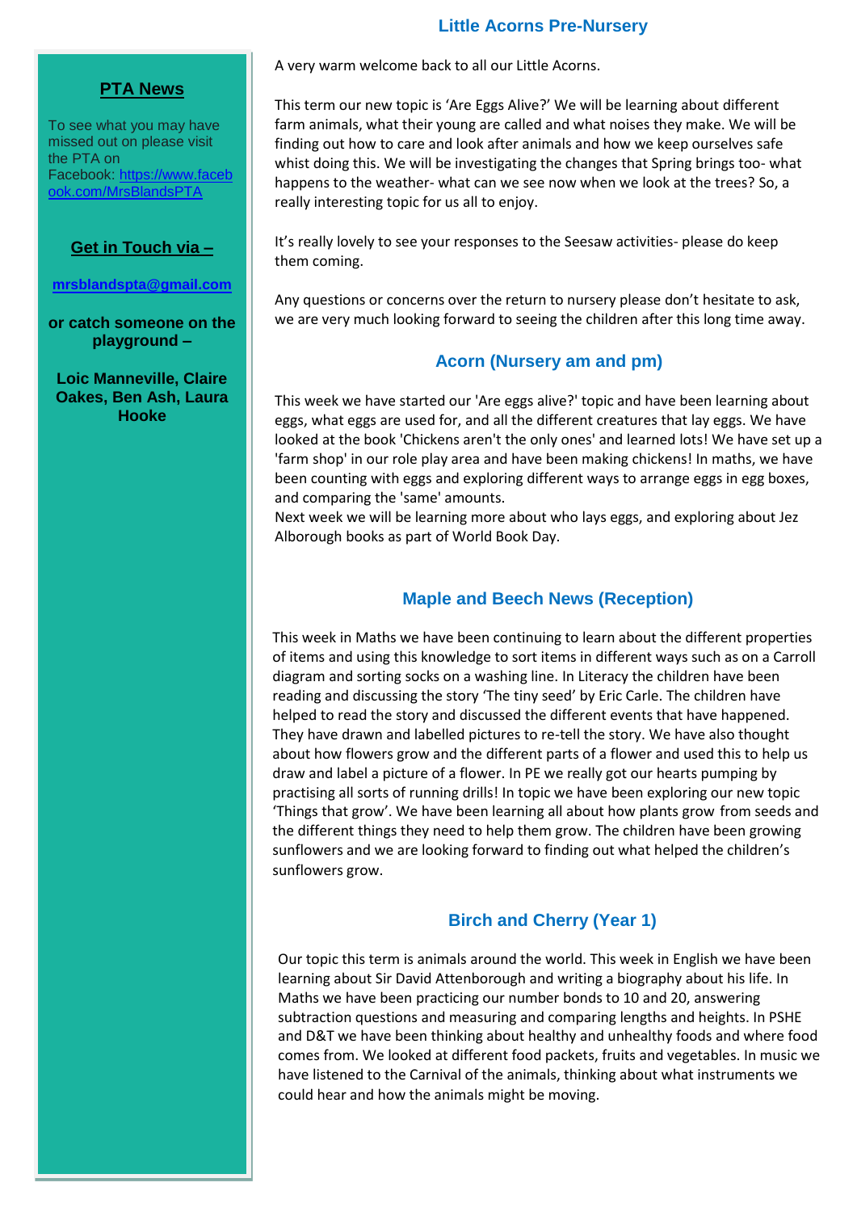#### **Little Acorns Pre-Nursery**

#### **PTA News**

To see what you may have missed out on please visit the PTA on Facebook: [https://www.faceb](https://www.facebook.com/MrsBlandsPTA) [ook.com/MrsBlandsPTA](https://www.facebook.com/MrsBlandsPTA)

#### **Get in Touch via –**

**[mrsblandspta@gmail.com](mailto:mrsblandspta@gmail.com)**

**or catch someone on the playground –**

**Loic Manneville, Claire Oakes, Ben Ash, Laura Hooke**

A very warm welcome back to all our Little Acorns.

This term our new topic is 'Are Eggs Alive?' We will be learning about different farm animals, what their young are called and what noises they make. We will be finding out how to care and look after animals and how we keep ourselves safe whist doing this. We will be investigating the changes that Spring brings too- what happens to the weather- what can we see now when we look at the trees? So, a really interesting topic for us all to enjoy.

It's really lovely to see your responses to the Seesaw activities- please do keep them coming.

Any questions or concerns over the return to nursery please don't hesitate to ask, we are very much looking forward to seeing the children after this long time away.

#### **Acorn (Nursery am and pm)**

This week we have started our 'Are eggs alive?' topic and have been learning about eggs, what eggs are used for, and all the different creatures that lay eggs. We have looked at the book 'Chickens aren't the only ones' and learned lots! We have set up a 'farm shop' in our role play area and have been making chickens! In maths, we have been counting with eggs and exploring different ways to arrange eggs in egg boxes, and comparing the 'same' amounts.

Next week we will be learning more about who lays eggs, and exploring about Jez Alborough books as part of World Book Day.

#### **Maple and Beech News (Reception)**

This week in Maths we have been continuing to learn about the different properties of items and using this knowledge to sort items in different ways such as on a Carroll diagram and sorting socks on a washing line. In Literacy the children have been reading and discussing the story 'The tiny seed' by Eric Carle. The children have helped to read the story and discussed the different events that have happened. They have drawn and labelled pictures to re-tell the story. We have also thought about how flowers grow and the different parts of a flower and used this to help us draw and label a picture of a flower. In PE we really got our hearts pumping by practising all sorts of running drills! In topic we have been exploring our new topic 'Things that grow'. We have been learning all about how plants grow from seeds and the different things they need to help them grow. The children have been growing sunflowers and we are looking forward to finding out what helped the children's sunflowers grow.

#### **Birch and Cherry (Year 1)**

Our topic this term is animals around the world. This week in English we have been learning about Sir David Attenborough and writing a biography about his life. In Maths we have been practicing our number bonds to 10 and 20, answering subtraction questions and measuring and comparing lengths and heights. In PSHE and D&T we have been thinking about healthy and unhealthy foods and where food comes from. We looked at different food packets, fruits and vegetables. In music we have listened to the Carnival of the animals, thinking about what instruments we could hear and how the animals might be moving.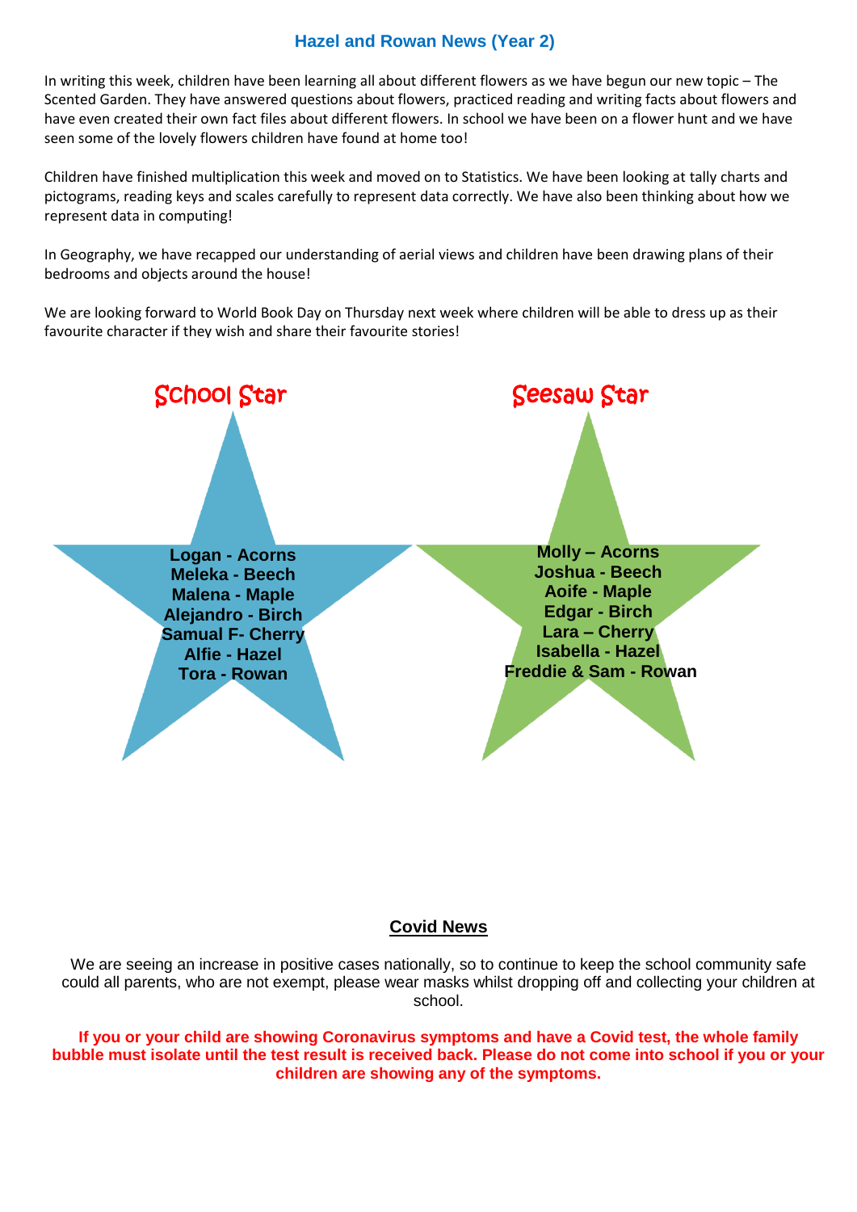#### **Hazel and Rowan News (Year 2)**

In writing this week, children have been learning all about different flowers as we have begun our new topic – The Scented Garden. They have answered questions about flowers, practiced reading and writing facts about flowers and have even created their own fact files about different flowers. In school we have been on a flower hunt and we have seen some of the lovely flowers children have found at home too!

Children have finished multiplication this week and moved on to Statistics. We have been looking at tally charts and pictograms, reading keys and scales carefully to represent data correctly. We have also been thinking about how we represent data in computing!

 In Geography, we have recapped our understanding of aerial views and children have been drawing plans of their bedrooms and objects around the house!

 favourite character if they wish and share their favourite stories!We are looking forward to World Book Day on Thursday next week where children will be able to dress up as their



#### **Covid News**

We are seeing an increase in positive cases nationally, so to continue to keep the school community safe could all parents, who are not exempt, please wear masks whilst dropping off and collecting your children at school.

**If you or your child are showing Coronavirus symptoms and have a Covid test, the whole family bubble must isolate until the test result is received back. Please do not come into school if you or your children are showing any of the symptoms.**